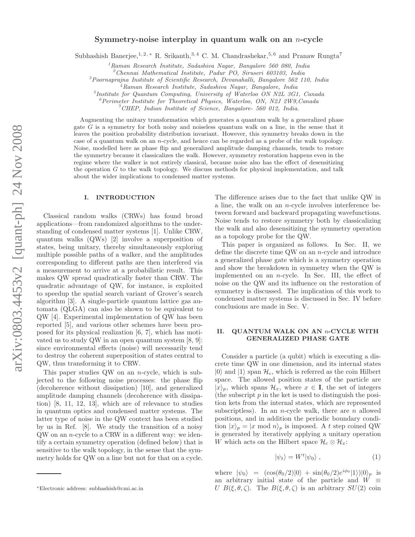# Symmetry-noise interplay in quantum walk on an  $n$ -cycle

Subhashish Banerjee,<sup>1, 2, \*</sup> R. Srikanth,<sup>3, 4</sup> C. M. Chandrashekar,<sup>5, 6</sup> and Pranaw Rungta<sup>7</sup>

<sup>1</sup>*Raman Research Institute, Sadashiva Nagar, Bangalore 560 080, India*

<sup>2</sup>*Chennai Mathematical Institute, Padur PO, Siruseri 603103, India*

<sup>3</sup>*Poornaprajna Institute of Scientific Research, Devanahalli, Bangalore 562 110, India*

<sup>4</sup>*Raman Research Institute, Sadashiva Nagar, Bangalore, India*

5 *Institute for Quantum Computing, University of Waterloo ON N2L 3G1, Canada*

<sup>6</sup>*Perimeter Institute for Theoretical Physics, Waterloo, ON, N2J 2W9,Canada*

<sup>7</sup>*CHEP, Indian Institute of Science, Bangalore- 560 012, India.*

Augmenting the unitary transformation which generates a quantum walk by a generalized phase gate  $G$  is a symmetry for both noisy and noiseless quantum walk on a line, in the sense that it leaves the position probability distribution invariant. However, this symmetry breaks down in the case of a quantum walk on an n-cycle, and hence can be regarded as a probe of the walk topology. Noise, modelled here as phase flip and generalized amplitude damping channels, tends to restore the symmetry because it classicalizes the walk. However, symmetry restoration happens even in the regime where the walker is not entirely classical, because noise also has the effect of desensitizing the operation  $G$  to the walk topology. We discuss methods for physical implementation, and talk about the wider implications to condensed matter systems.

### I. INTRODUCTION

Classical random walks (CRWs) has found broad applications—from randomized algorithms to the understanding of condensed matter systems [1]. Unlike CRW, quantum walks (QWs) [2] involve a superposition of states, being unitary, thereby simultaneously exploring multiple possible paths of a walker, and the amplitudes corresponding to different paths are then interfered via a measurement to arrive at a probabilistic result. This makes QW spread quadratically faster than CRW. The quadratic advantage of QW, for instance, is exploited to speedup the spatial search variant of Grover's search algorithm [3]. A single-particle quantum lattice gas automata (QLGA) can also be shown to be equivalent to QW [4]. Experimental implementation of QW has been reported [5], and various other schemes have been proposed for its physical realization [6, 7], which has motivated us to study QW in an open quantum system [8, 9]: since environmental effects (noise) will necessarily tend to destroy the coherent superposition of states central to QW, thus transforming it to CRW.

This paper studies QW on an n-cycle, which is subjected to the following noise processes: the phase flip (decoherence without dissipation) [10], and generalized amplitude damping channels (decoherence with dissipation) [8, 11, 12, 13], which are of relevance to studies in quantum optics and condensed matter systems. The latter type of noise in the QW context has been studied by us in Ref. [8]. We study the transition of a noisy  $QW$  on an *n*-cycle to a CRW in a different way: we identify a certain symmetry operation (defined below) that is sensitive to the walk topology, in the sense that the symmetry holds for QW on a line but not for that on a cycle.

The difference arises due to the fact that unlike QW in a line, the walk on an  $n$ -cycle involves interference between forward and backward propagating wavefunctions. Noise tends to restore symmetry both by classicalizing the walk and also desensitizing the symmetry operation as a topology probe for the QW.

This paper is organized as follows. In Sec. II, we define the discrete time QW on an n-cycle and introduce a generalized phase gate which is a symmetry operation and show the breakdown in symmetry when the QW is implemented on an n-cycle. In Sec. III, the effect of noise on the QW and its influence on the restoration of symmetry is discussed. The implication of this work to condensed matter systems is discussed in Sec. IV before conclusions are made in Sec. V.

# II. QUANTUM WALK ON AN n-CYCLE WITH GENERALIZED PHASE GATE

Consider a particle (a qubit) which is executing a discrete time QW in one dimension, and its internal states  $|0\rangle$  and  $|1\rangle$  span  $\mathcal{H}_c$ , which is referred as the coin Hilbert space. The allowed position states of the particle are  $|x\rangle_p$ , which spans  $\mathcal{H}_x$ , where  $x \in I$ , the set of integers (the subscript  $p$  in the ket is used to distinguish the position kets from the internal states, which are represented subscriptless). In an *n*-cycle walk, there are  $n$  allowed positions, and in addition the periodic boundary condition  $|x\rangle_p = |x \mod n\rangle_p$  is imposed. A t step coined QW is generated by iteratively applying a unitary operation W which acts on the Hilbert space  $\mathcal{H}_c \otimes \mathcal{H}_x$ :

$$
|\psi_t\rangle = W^t |\psi_0\rangle \;, \tag{1}
$$

where  $|\psi_0\rangle = (\cos(\theta_0/2)|0\rangle + \sin(\theta_0/2)e^{i\phi_0}|1\rangle)|0\rangle_p$  is an arbitrary initial state of the particle and  $W \equiv$ U  $B(\xi, \theta, \zeta)$ . The  $B(\xi, \theta, \zeta)$  is an arbitrary  $SU(2)$  coin

<sup>∗</sup>Electronic address: subhashish@cmi.ac.in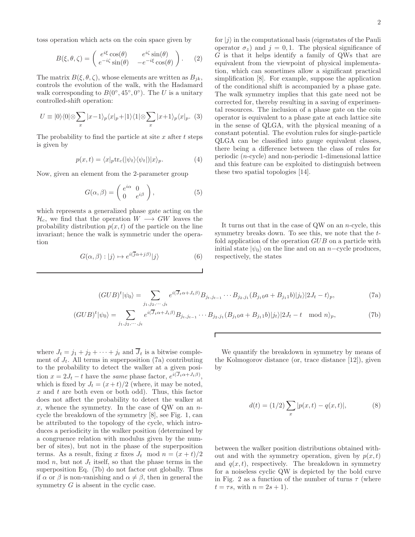$$
B(\xi, \theta, \zeta) = \begin{pmatrix} e^{i\xi} \cos(\theta) & e^{i\zeta} \sin(\theta) \\ e^{-i\zeta} \sin(\theta) & -e^{-i\xi} \cos(\theta) \end{pmatrix}.
$$
 (2)

The matrix  $B(\xi, \theta, \zeta)$ , whose elements are written as  $B_{jk}$ , controls the evolution of the walk, with the Hadamard walk corresponding to  $B(0^{\circ}, 45^{\circ}, 0^{\circ})$ . The U is a unitary controlled-shift operation:

$$
U \equiv |0\rangle\langle 0| \otimes \sum_{x} |x-1\rangle_p \langle x|_p + |1\rangle\langle 1| \otimes \sum_{x} |x+1\rangle_p \langle x|_p. \tag{3}
$$

The probability to find the particle at site  $x$  after  $t$  steps is given by

$$
p(x,t) = \langle x|p \text{tr}_c(|\psi_t\rangle \langle \psi_t|)|x\rangle_p. \tag{4}
$$

Now, given an element from the 2-parameter group

$$
G(\alpha, \beta) = \begin{pmatrix} e^{i\alpha} & 0 \\ 0 & e^{i\beta} \end{pmatrix}, \tag{5}
$$

which represents a generalized phase gate acting on the  $\mathcal{H}_c$ , we find that the operation  $W \longrightarrow GW$  leaves the probability distribution  $p(x, t)$  of the particle on the line invariant; hence the walk is symmetric under the operation

$$
G(\alpha, \beta) : |j\rangle \mapsto e^{i(j\alpha + j\beta)}|j\rangle \tag{6}
$$

for  $|j\rangle$  in the computational basis (eigenstates of the Pauli operator  $\sigma_z$ ) and  $j = 0, 1$ . The physical significance of G is that it helps identify a family of QWs that are equivalent from the viewpoint of physical implementation, which can sometimes allow a significant practical simplification [8]. For example, suppose the application of the conditional shift is accompanied by a phase gate. The walk symmetry implies that this gate need not be corrected for, thereby resulting in a saving of experimental resources. The inclusion of a phase gate on the coin operator is equivalent to a phase gate at each lattice site in the sense of QLGA, with the physical meaning of a constant potential. The evolution rules for single-particle QLGA can be classified into gauge equivalent classes, there being a difference between the class of rules for periodic (n-cycle) and non-periodic 1-dimensional lattice and this feature can be exploited to distinguish between these two spatial topologies [14].

It turns out that in the case of  $QW$  on an *n*-cycle, this symmetry breaks down. To see this, we note that the tfold application of the operation  $GUB$  on a particle with initial state  $|\psi_0\rangle$  on the line and on an n–cycle produces, respectively, the states

$$
(GUB)^{t}|\psi_{0}\rangle = \sum_{j_{1},j_{2},\cdots,j_{t}} e^{i(\overline{J}_{t}\alpha + J_{t}\beta)}B_{j_{t},j_{t-1}}\cdots B_{j_{2},j_{1}}(B_{j_{1}0}a + B_{j_{1}1}b)|j_{t}\rangle|2J_{t} - t\rangle_{p},\tag{7a}
$$

$$
(GUB)^{t}|\psi_{0}\rangle = \sum_{j_{1},j_{2},\cdots,j_{t}} e^{i(\overline{J}_{t}\alpha + J_{t}\beta)}B_{j_{t},j_{t-1}}\cdots B_{j_{2},j_{1}}(B_{j_{1}0}a + B_{j_{1}1}b)|j_{t}\rangle|2J_{t} - t \mod n\rangle_{p},\tag{7b}
$$

 $\overline{\Gamma}$ 

where  $J_t = j_1 + j_2 + \cdots + j_t$  and  $\overline{J}_t$  is a bitwise complement of  $J_t$ . All terms in superposition (7a) contributing to the probability to detect the walker at a given position  $x = 2J_t - t$  have the same phase factor,  $e^{i(\overline{J}_t \alpha + J_t \beta)}$ , which is fixed by  $J_t = (x + t)/2$  (where, it may be noted, x and t are both even or both odd). Thus, this factor does not affect the probability to detect the walker at x, whence the symmetry. In the case of QW on an  $n$ cycle the breakdown of the symmetry [8], see Fig. 1, can be attributed to the topology of the cycle, which introduces a periodicity in the walker position (determined by a congruence relation with modulus given by the number of sites), but not in the phase of the superposition terms. As a result, fixing x fixes  $J_t \mod n = (x + t)/2$ mod  $n$ , but not  $J_t$  itself, so that the phase terms in the superposition Eq. (7b) do not factor out globally. Thus if  $\alpha$  or  $\beta$  is non-vanishing and  $\alpha \neq \beta$ , then in general the symmetry  $G$  is absent in the cyclic case.

We quantify the breakdown in symmetry by means of the Kolmogorov distance (or, trace distance [12]), given by

$$
d(t) = (1/2) \sum_{x} |p(x, t) - q(x, t)|,
$$
 (8)

between the walker position distributions obtained without and with the symmetry operation, given by  $p(x, t)$ and  $q(x, t)$ , respectively. The breakdown in symmetry for a noiseless cyclic QW is depicted by the bold curve in Fig. 2 as a function of the number of turns  $\tau$  (where  $t = \tau s$ , with  $n = 2s + 1$ ).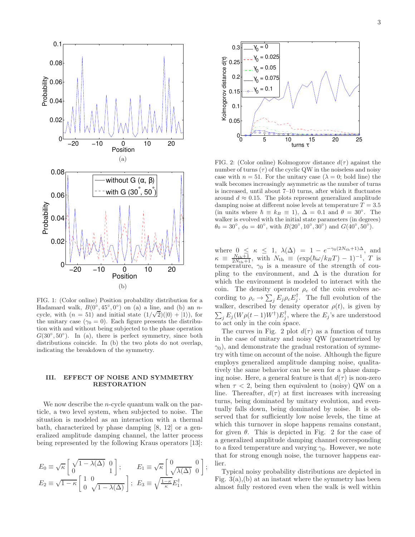

FIG. 1: (Color online) Position probability distribution for a Hadamard walk,  $B(0^{\circ}, 45^{\circ}, 0^{\circ})$  on (a) a line, and (b) an ncycle, with  $(n = 51)$  and initial state  $(1/\sqrt{2})(|0\rangle + |1\rangle)$ , for the unitary case ( $\gamma_0 = 0$ ). Each figure presents the distribution with and without being subjected to the phase operation  $G(30^\circ, 50^\circ)$ . In (a), there is perfect symmetry, since both distributions coincide. In (b) the two plots do not overlap, indicating the breakdown of the symmetry.

## III. EFFECT OF NOISE AND SYMMETRY RESTORATION

We now describe the *n*-cycle quantum walk on the particle, a two level system, when subjected to noise. The situation is modeled as an interaction with a thermal bath, characterized by phase damping [8, 12] or a generalized amplitude damping channel, the latter process being represented by the following Kraus operators [13]:

$$
E_0 \equiv \sqrt{\kappa} \begin{bmatrix} \sqrt{1 - \lambda(\Delta)} & 0 \\ 0 & 1 \end{bmatrix}; \qquad E_1 \equiv \sqrt{\kappa} \begin{bmatrix} 0 & 0 \\ \sqrt{\lambda(\Delta)} & 0 \end{bmatrix};
$$
  

$$
E_2 \equiv \sqrt{1 - \kappa} \begin{bmatrix} 1 & 0 \\ 0 & \sqrt{1 - \lambda(\Delta)} \end{bmatrix}; \ E_3 \equiv \sqrt{\frac{1 - \kappa}{\kappa}} E_1^{\dagger},
$$



FIG. 2: (Color online) Kolmogorov distance  $d(\tau)$  against the number of turns  $(\tau)$  of the cyclic QW in the noiseless and noisy case with  $n = 51$ . For the unitary case  $(\lambda = 0; \text{ bold line})$  the walk becomes increasingly asymmetric as the number of turns is increased, until about 7–10 turns, after which it fluctuates around  $d \approx 0.15$ . The plots represent generalized amplitude damping noise at different noise levels at temperature  $T = 3.5$ (in units where  $\hbar \equiv k_B \equiv 1$ ),  $\Delta = 0.1$  and  $\theta = 30^\circ$ . The walker is evolved with the initial state parameters (in degrees)  $\theta_0 = 30^\circ, \phi_0 = 40^\circ$ , with  $B(20^\circ, 10^\circ, 30^\circ)$  and  $G(40^\circ, 50^\circ)$ .

where  $0 \leq \kappa \leq 1$ ,  $\lambda(\Delta) = 1 - e^{-\gamma_0(2N_{\text{th}}+1)\Delta}$ , and  $\kappa \equiv \frac{N_{\text{th}}+1}{2N_{\text{th}}+1}$ , with  $N_{\text{th}} \equiv (\exp(\hbar\omega/k_BT) - 1)^{-1}$ , T is temperature,  $\gamma_0$  is a measure of the strength of coupling to the environment, and  $\Delta$  is the duration for which the environment is modeled to interact with the coin. The density operator  $\rho_c$  of the coin evolves according to  $\rho_c \to \sum_j E_j \rho_c E_j^{\dagger}$ . The full evolution of the walker, described by density operator  $\rho(t)$ , is given by  $\sum_j E_j (W \rho(t-1) W^\dagger) E_j^\dagger$ , where the  $E_j$ 's are understood to act only in the coin space.

The curves in Fig. 2 plot  $d(\tau)$  as a function of turns in the case of unitary and noisy QW (parametrized by  $\gamma_0$ ), and demonstrate the gradual restoration of symmetry with time on account of the noise. Although the figure employs generalized amplitude damping noise, qualitatively the same behavior can be seen for a phase damping noise. Here, a general feature is that  $d(\tau)$  is non-zero when  $\tau$  < 2, being then equivalent to (noisy) QW on a line. Thereafter,  $d(\tau)$  at first increases with increasing turns, being dominated by unitary evolution, and eventually falls down, being dominated by noise. It is observed that for sufficiently low noise levels, the time at which this turnover in slope happens remains constant, for given  $\theta$ . This is depicted in Fig. 2 for the case of a generalized amplitude damping channel corresponding to a fixed temperature and varying  $\gamma_0$ . However, we note that for strong enough noise, the turnover happens earlier.

Typical noisy probability distributions are depicted in Fig.  $3(a)$ , (b) at an instant where the symmetry has been almost fully restored even when the walk is well within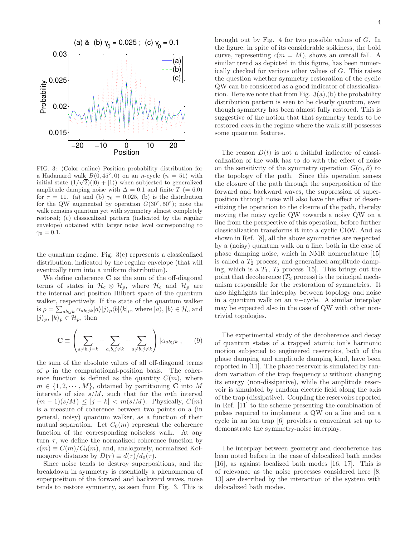

FIG. 3: (Color online) Position probability distribution for a Hadamard walk  $B(0, 45^{\circ}, 0)$  on an *n*-cycle  $(n = 51)$  with initial state  $(1/\sqrt{2})(|0\rangle + |1\rangle)$  when subjected to generalized amplitude damping noise with  $\Delta = 0.1$  and finite  $T = 6.0$ for  $\tau = 11$ . (a) and (b)  $\gamma_0 = 0.025$ , (b) is the distribution for the QW augmented by operation  $G(30^{\circ}, 50^{\circ})$ ; note the walk remains quantum yet with symmetry almost completely restored; (c) classicalized pattern (indicated by the regular envelope) obtained with larger noise level corresponding to  $\gamma_0 = 0.1$ .

the quantum regime. Fig. 3(c) represents a classicalized distribution, indicated by the regular envelope (that will eventually turn into a uniform distribution).

We define coherence  $C$  as the sum of the off-diagonal terms of states in  $\mathcal{H}_c \otimes \mathcal{H}_p$ , where  $\mathcal{H}_c$  and  $\mathcal{H}_p$  are the internal and position Hilbert space of the quantum walker, respectively. If the state of the quantum walker is  $\rho = \sum_{ab;jk} \alpha_{ab;jk} |a\rangle |j\rangle_p \langle b| \langle k|_p$ , where  $|a\rangle, |b\rangle \in \mathcal{H}_c$  and  $|j\rangle_p, |k\rangle_p \in \mathcal{H}_p$ , then

$$
\mathbf{C} \equiv \left(\sum_{a \neq b, j=k} + \sum_{a, b, j \neq k} + \sum_{a \neq b, j \neq k} \right) |\alpha_{ab;jk}|, \qquad (9)
$$

the sum of the absolute values of all off-diagonal terms of  $\rho$  in the computational-position basis. The coherence function is defined as the quantity  $C(m)$ , where  $m \in \{1, 2, \dots, M\}$ , obtained by partitioning **C** into M intervals of size  $s/M$ , such that for the mth interval  $(m-1)(s/M) \leq |j-k| < m(s/M)$ . Physically,  $C(m)$ is a measure of coherence between two points on a (in general, noisy) quantum walker, as a function of their mutual separation. Let  $C_0(m)$  represent the coherence function of the corresponding noiseless walk. At any turn  $\tau$ , we define the normalized coherence function by  $c(m) \equiv C(m)/C_0(m)$ , and, analogously, normalized Kolmogorov distance by  $D(\tau) \equiv d(\tau)/d_0(\tau)$ .

Since noise tends to destroy superpositions, and the breakdown in symmetry is essentially a phenomenon of superposition of the forward and backward waves, noise tends to restore symmetry, as seen from Fig. 3. This is

brought out by Fig. 4 for two possible values of G. In the figure, in spite of its considerable spikiness, the bold curve, representing  $c(m = M)$ , shows an overall fall. A similar trend as depicted in this figure, has been numerically checked for various other values of G. This raises the question whether symmetry restoration of the cyclic QW can be considered as a good indicator of classicalization. Here we note that from Fig.  $3(a)$ , (b) the probability distribution pattern is seen to be clearly quantum, even though symmetry has been almost fully restored. This is suggestive of the notion that that symmetry tends to be restored even in the regime where the walk still possesses some quantum features.

The reason  $D(t)$  is not a faithful indicator of classicalization of the walk has to do with the effect of noise on the sensitivity of the symmetry operation  $G(\alpha, \beta)$  to the topology of the path. Since this operation senses the closure of the path through the superposition of the forward and backward waves, the suppression of superposition through noise will also have the effect of desensitizing the operation to the closure of the path, thereby moving the noisy cyclic QW towards a noisy QW on a line from the perspective of this operation, before further classicalization transforms it into a cyclic CRW. And as shown in Ref. [8], all the above symmetries are respected by a (noisy) quantum walk on a line, both in the case of phase damping noise, which in NMR nomenclature [15] is called a  $T_2$  process, and generalized amplitude damping, which is a  $T_1$ ,  $T_2$  process [15]. This brings out the point that decoherence  $(T_2 \text{ process})$  is the principal mechanism responsible for the restoration of symmetries. It also highlights the interplay between topology and noise in a quantum walk on an  $n$ −cycle. A similar interplay may be expected also in the case of QW with other nontrivial topologies.

The experimental study of the decoherence and decay of quantum states of a trapped atomic ion's harmonic motion subjected to engineered reservoirs, both of the phase damping and amplitude damping kind, have been reported in [11]. The phase reservoir is simulated by random variation of the trap frequency  $\omega$  without changing its energy (non-dissipative), while the amplitude reservoir is simulated by random electric field along the axis of the trap (dissipative). Coupling the reservoirs reported in Ref. [11] to the scheme presenting the combination of pulses required to implement a QW on a line and on a cycle in an ion trap [6] provides a convenient set up to demonstrate the symmetry-noise interplay.

The interplay between geometry and decoherence has been noted before in the case of delocalized bath modes [16], as against localized bath modes [16, 17]. This is of relevance as the noise processes considered here [8, 13] are described by the interaction of the system with delocalized bath modes.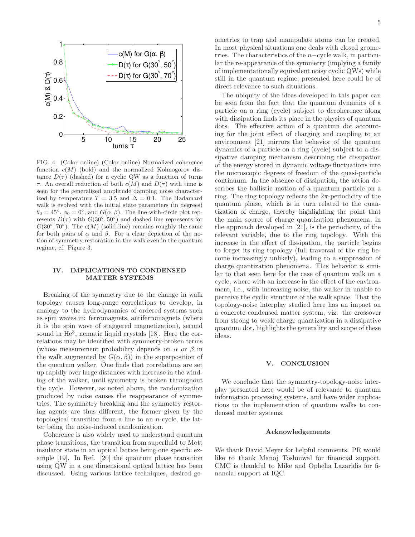

FIG. 4: (Color online) (Color online) Normalized coherence function  $c(M)$  (bold) and the normalized Kolmogorov distance  $D(\tau)$  (dashed) for a cyclic QW as a function of turns τ. An overall reduction of both  $c(M)$  and  $D(τ)$  with time is seen for the generalized amplitude damping noise characterized by temperature  $T = 3.5$  and  $\Delta = 0.1$ . The Hadamard walk is evolved with the initial state parameters (in degrees)  $\theta_0 = 45^\circ$ ,  $\phi_0 = 0^\circ$ , and  $G(\alpha, \beta)$ . The line-with-circle plot represents  $D(\tau)$  with  $G(30^{\circ}, 50^{\circ})$  and dashed line represents for  $G(30^{\circ}, 70^{\circ})$ . The  $c(M)$  (solid line) remains roughly the same for both pairs of  $\alpha$  and  $\beta$ . For a clear depiction of the notion of symmetry restoration in the walk even in the quantum regime, cf. Figure 3.

### IV. IMPLICATIONS TO CONDENSED MATTER SYSTEMS

Breaking of the symmetry due to the change in walk topology causes long-range correlations to develop, in analogy to the hydrodynamics of ordered systems such as spin waves in: ferromagnets, antiferromagnets (where it is the spin wave of staggered magnetization), second sound in He<sup>3</sup>, nematic liquid crystals [18]. Here the correlations may be identified with symmetry-broken terms (whose measurement probability depends on  $\alpha$  or  $\beta$  in the walk augmented by  $G(\alpha, \beta)$  in the superposition of the quantum walker. One finds that correlations are set up rapidly over large distances with increase in the winding of the walker, until symmetry is broken throughout the cycle. However, as noted above, the randomization produced by noise causes the reappearance of symmetries. The symmetry breaking and the symmetry restoring agents are thus different, the former given by the topological transition from a line to an  $n$ -cycle, the latter being the noise-induced randomization.

Coherence is also widely used to understand quantum phase transitions, the transition from superfluid to Mott insulator state in an optical lattice being one specific example [19]. In Ref. [20] the quantum phase transition using QW in a one dimensional optical lattice has been discussed. Using various lattice techniques, desired geometries to trap and manipulate atoms can be created. In most physical situations one deals with closed geometries. The characteristics of the n−cycle walk, in particular the re-appearance of the symmetry (implying a family of implementationally equivalent noisy cyclic QWs) while still in the quantum regime, presented here could be of direct relevance to such situations.

The ubiquity of the ideas developed in this paper can be seen from the fact that the quantum dynamics of a particle on a ring (cycle) subject to decoherence along with dissipation finds its place in the physics of quantum dots. The effective action of a quantum dot accounting for the joint effect of charging and coupling to an environment [21] mirrors the behavior of the quantum dynamics of a particle on a ring (cycle) subject to a dissipative damping mechanism describing the dissipation of the energy stored in dynamic voltage fluctuations into the microscopic degrees of freedom of the quasi-particle continuum. In the absence of dissipation, the action describes the ballistic motion of a quantum particle on a ring. The ring topology reflects the  $2\pi$ -periodicity of the quantum phase, which is in turn related to the quantization of charge, thereby highlighting the point that the main source of charge quantization phenomena, in the approach developed in [21], is the periodicity, of the relevant variable, due to the ring topology. With the increase in the effect of dissipation, the particle begins to forget its ring topology (full traversal of the ring become increasingly unlikely), leading to a suppression of charge quantization phenomena. This behavior is similar to that seen here for the case of quantum walk on a cycle, where with an increase in the effect of the environment, i.e., with increasing noise, the walker in unable to perceive the cyclic structure of the walk space. That the topology-noise interplay studied here has an impact on a concrete condensed matter system, viz. the crossover from strong to weak charge quantization in a dissipative quantum dot, highlights the generality and scope of these ideas.

#### V. CONCLUSION

We conclude that the symmetry-topology-noise interplay presented here would be of relevance to quantum information processing systems, and have wider implications to the implementation of quantum walks to condensed matter systems.

#### Acknowledgements

We thank David Meyer for helpful comments. PR would like to thank Manoj Toshniwal for financial support. CMC is thankful to Mike and Ophelia Lazaridis for financial support at IQC.